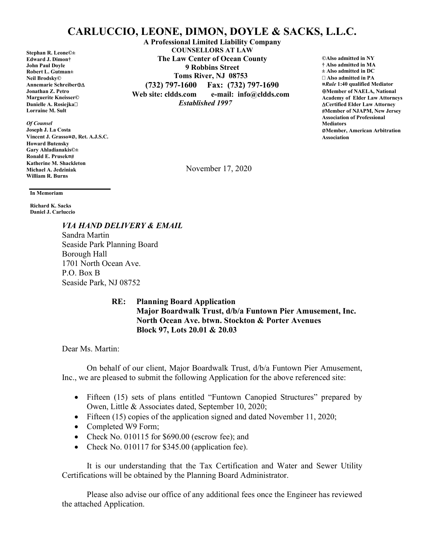## CARLUCCIO, LEONE, DIMON, DOYLE & SACKS, L.L.C.

Stephan R. Leone©± Edward J. Dimon† John Paul Doyle Robert L. Gutman± Neil Brodsky© Annemarie Schreiber Jonathan Z. Petro Marguerite Kneisser© Danielle A. Rosiejka□ Lorraine M. Sult

Of Counsel Joseph J. La Costa Vincent J. Grasso¤ø, Ret. A.J.S.C. Howard Butensky Gary Ahladianakis©± Ronald E. Prusek¤ Katherine M. Shackleton Michael A. Jedziniak William R. Burns

A Professional Limited Liability Company COUNSELLORS AT LAW The Law Center of Ocean County 9 Robbins Street Toms River, NJ 08753 (732) 797-1600 Fax: (732) 797-1690 Web site: cldds.com e-mail: info@cldds.com Established 1997

©Also admitted in NY † Also admitted in MA ± Also admitted in DC Also admitted in PA ¤Rule 1:40 qualified Mediator Member of NAELA, National Academy of Elder Law Attorneys Certified Elder Law Attorney Member of NJAPM, New Jersey Association of Professional **Mediators** øMember, American Arbitration Association

November 17, 2020

In Memoriam

Richard K. Sacks Daniel J. Carluccio

> VIA HAND DELIVERY & EMAIL Sandra Martin Seaside Park Planning Board Borough Hall 1701 North Ocean Ave. P.O. Box B Seaside Park, NJ 08752

> > RE: Planning Board Application Major Boardwalk Trust, d/b/a Funtown Pier Amusement, Inc. North Ocean Ave. btwn. Stockton & Porter Avenues Block 97, Lots 20.01 & 20.03

Dear Ms. Martin:

 On behalf of our client, Major Boardwalk Trust, d/b/a Funtown Pier Amusement, Inc., we are pleased to submit the following Application for the above referenced site:

- Fifteen (15) sets of plans entitled "Funtown Canopied Structures" prepared by Owen, Little & Associates dated, September 10, 2020;
- Fifteen (15) copies of the application signed and dated November 11, 2020;
- Completed W9 Form;
- Check No. 010115 for \$690.00 (escrow fee); and
- Check No. 010117 for \$345.00 (application fee).

It is our understanding that the Tax Certification and Water and Sewer Utility Certifications will be obtained by the Planning Board Administrator.

Please also advise our office of any additional fees once the Engineer has reviewed the attached Application.